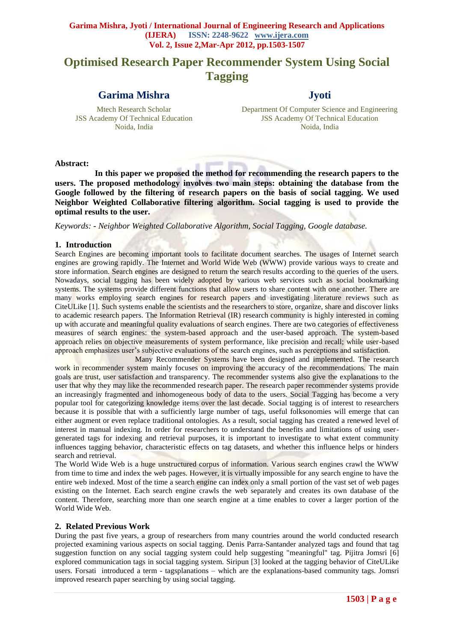# **Optimised Research Paper Recommender System Using Social Tagging**

# **Garima Mishra**

Mtech Research Scholar JSS Academy Of Technical Education Noida, India

# **Jyoti**

Department Of Computer Science and Engineering JSS Academy Of Technical Education Noida, India

#### **Abstract:**

 **In this paper we proposed the method for recommending the research papers to the users. The proposed methodology involves two main steps: obtaining the database from the Google followed by the filtering of research papers on the basis of social tagging. We used Neighbor Weighted Collaborative filtering algorithm. Social tagging is used to provide the optimal results to the user.**

*Keywords: - Neighbor Weighted Collaborative Algorithm, Social Tagging, Google database.*

**SOUTH** 

#### **1. Introduction**

Search Engines are becoming important tools to facilitate document searches. The usages of Internet search engines are growing rapidly. The Internet and World Wide Web (WWW) provide various ways to create and store information. Search engines are designed to return the search results according to the queries of the users. Nowadays, social tagging has been widely adopted by various web services such as social bookmarking systems. The systems provide different functions that allow users to share content with one another. There are many works employing search engines for research papers and investigating literature reviews such as CiteULike [1]. Such systems enable the scientists and the researchers to store, organize, share and discover links to academic research papers. The Information Retrieval (IR) research community is highly interested in coming up with accurate and meaningful quality evaluations of search engines. There are two categories of effectiveness measures of search engines: the system-based approach and the user-based approach. The system-based approach relies on objective measurements of system performance, like precision and recall; while user-based approach emphasizes user's subjective evaluations of the search engines, such as perceptions and satisfaction.

 Many Recommender Systems have been designed and implemented. The research work in recommender system mainly focuses on improving the accuracy of the recommendations. The main goals are trust, user satisfaction and transparency. The recommender systems also give the explanations to the user that why they may like the recommended research paper. The research paper recommender systems provide an increasingly fragmented and inhomogeneous body of data to the users. Social Tagging has become a very popular tool for categorizing knowledge items over the last decade. Social tagging is of interest to researchers because it is possible that with a sufficiently large number of tags, useful folksonomies will emerge that can either augment or even replace traditional ontologies. As a result, social tagging has created a renewed level of interest in manual indexing. In order for researchers to understand the benefits and limitations of using usergenerated tags for indexing and retrieval purposes, it is important to investigate to what extent community influences tagging behavior, characteristic effects on tag datasets, and whether this influence helps or hinders search and retrieval.

The World Wide Web is a huge unstructured corpus of information. Various search engines crawl the WWW from time to time and index the web pages. However, it is virtually impossible for any search engine to have the entire web indexed. Most of the time a search engine can index only a small portion of the vast set of web pages existing on the Internet. Each search engine crawls the web separately and creates its own database of the content. Therefore, searching more than one search engine at a time enables to cover a larger portion of the World Wide Web.

#### **2. Related Previous Work**

During the past five years, a group of researchers from many countries around the world conducted research projected examining various aspects on social tagging. Denis Parra-Santander analyzed tags and found that tag suggestion function on any social tagging system could help suggesting "meaningful" tag. Pijitra Jomsri [6] explored communication tags in social tagging system. Siripun [3] looked at the tagging behavior of CiteULike users. Forsati introduced a term - tagsplanations – which are the explanations-based community tags. Jomsri improved research paper searching by using social tagging.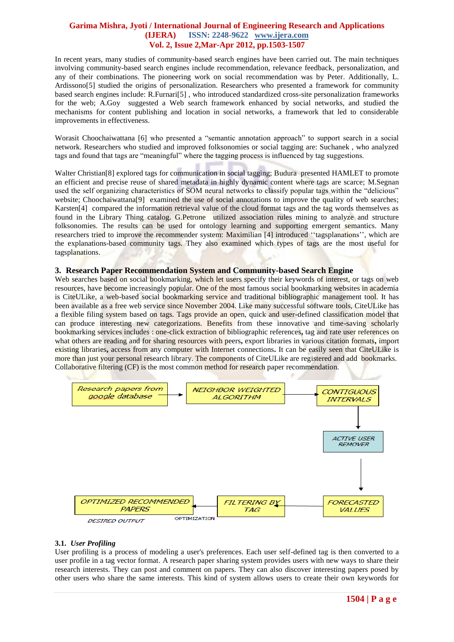In recent years, many studies of community-based search engines have been carried out. The main techniques involving community-based search engines include recommendation, relevance feedback, personalization, and any of their combinations. The pioneering work on social recommendation was by Peter. Additionally, L. Ardissono[5] studied the origins of personalization. Researchers who presented a framework for community based search engines include: R.Furnari[5] , who introduced standardized cross-site personalization frameworks for the web; A.Goy suggested a Web search framework enhanced by social networks, and studied the mechanisms for content publishing and location in social networks, a framework that led to considerable improvements in effectiveness.

Worasit Choochaiwattana [6] who presented a "semantic annotation approach" to support search in a social network. Researchers who studied and improved folksonomies or social tagging are: Suchanek , who analyzed tags and found that tags are "meaningful" where the tagging process is influenced by tag suggestions.

Walter Christian<sup>[8]</sup> explored tags for communication in social tagging; Budura presented HAMLET to promote an efficient and precise reuse of shared metadata in highly dynamic content where tags are scarce; M.Segnan used the self organizing characteristics of SOM neural networks to classify popular tags within the "delicious" website; Choochaiwattana<sup>[9]</sup> examined the use of social annotations to improve the quality of web searches; Karsten[4] compared the information retrieval value of the cloud format tags and the tag words themselves as found in the Library Thing catalog. G.Petrone utilized association rules mining to analyze and structure folksonomies. The results can be used for ontology learning and supporting emergent semantics. Many researchers tried to improve the recommender system: Maximilian [4] introduced "tagsplanations", which are the explanations-based community tags. They also examined which types of tags are the most useful for tagsplanations.

## **3. Research Paper Recommendation System and Community-based Search Engine**

Web searches based on social bookmarking, which let users specify their keywords of interest, or tags on web resources, have become increasingly popular. One of the most famous social bookmarking websites in academia is CiteULike, a web-based social bookmarking service and traditional bibliographic management tool. It has been available as a free web service since November 2004. Like many successful software tools, CiteULike has a flexible filing system based on tags. Tags provide an open, quick and user-defined classification model that can produce interesting new categorizations. Benefits from these innovative and time-saving scholarly bookmarking services includes : one-click extraction of bibliographic references**,** tag and rate user references on what others are reading and for sharing resources with peers, export libraries in various citation formats, import existing libraries**,** access from any computer with Internet connections**.** It can be easily seen that CiteULike is more than just your personal research library. The components of CiteULike are registered and add bookmarks. Collaborative filtering (CF) is the most common method for research paper recommendation.



#### **3.1.** *User Profiling*

User profiling is a process of modeling a user's preferences. Each user self-defined tag is then converted to a user profile in a tag vector format. A research paper sharing system provides users with new ways to share their research interests. They can post and comment on papers. They can also discover interesting papers posed by other users who share the same interests. This kind of system allows users to create their own keywords for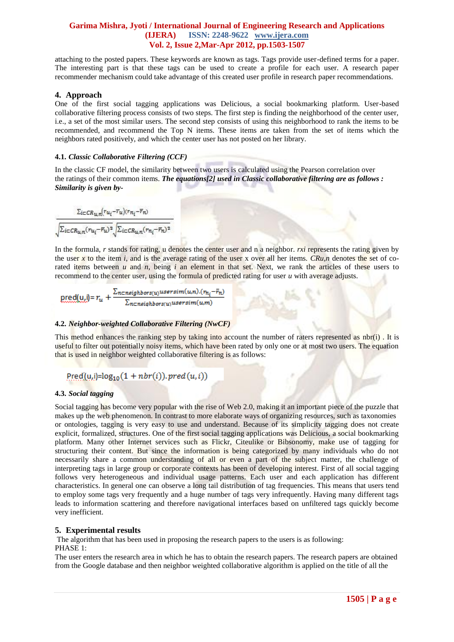attaching to the posted papers. These keywords are known as tags. Tags provide user-defined terms for a paper. The interesting part is that these tags can be used to create a profile for each user. A research paper recommender mechanism could take advantage of this created user profile in research paper recommendations.

#### **4. Approach**

One of the first social tagging applications was Delicious, a social bookmarking platform. User-based collaborative filtering process consists of two steps. The first step is finding the neighborhood of the center user, i.e., a set of the most similar users. The second step consists of using this neighborhood to rank the items to be recommended, and recommend the Top N items. These items are taken from the set of items which the neighbors rated positively, and which the center user has not posted on her library.

#### **4.1.** *Classic Collaborative Filtering (CCF)*

In the classic CF model, the similarity between two users is calculated using the Pearson correlation over the ratings of their common items. *The equations[2] used in Classic collaborative filtering are as follows : Similarity is given by-*

In the formula, *r* stands for rating, u denotes the center user and n a neighbor. *rxi* represents the rating given by the user x to the item *i*, and is the average rating of the user x over all her items. *CRu,n* denotes the set of corated items between *u* and *n*, being *i* an element in that set. Next, we rank the articles of these users to recommend to the center user, using the formula of predicted rating for user *u* with average adjusts.

$$
\underline{\text{pred}(u, j)} = r_u + \frac{\sum_{n \in \text{neighbours}(u)} \text{usersim}(u, n) . (n_{n_i} - \bar{r}_n)}{\sum_{n \in \text{neighbours}(u)} \text{usersim}(u, m)}
$$

## **4.2.** *Neighbor-weighted Collaborative Filtering (NwCF)*

This method enhances the ranking step by taking into account the number of raters represented as nbr(i). It is useful to filter out potentially noisy items, which have been rated by only one or at most two users. The equation that is used in neighbor weighted collaborative filtering is as follows:

Pred(u,i)= $\log_{10}(1 + nbr(i))$ . pred(u,i))

#### **4.3.** *Social tagging*

Social tagging has become very popular with the rise of Web 2.0, making it an important piece of the puzzle that makes up the web phenomenon. In contrast to more elaborate ways of organizing resources, such as taxonomies or ontologies, tagging is very easy to use and understand. Because of its simplicity tagging does not create explicit, formalized, structures. One of the first social tagging applications was Delicious, a social bookmarking platform. Many other Internet services such as Flickr, Citeulike or Bibsonomy, make use of tagging for structuring their content. But since the information is being categorized by many individuals who do not necessarily share a common understanding of all or even a part of the subject matter, the challenge of interpreting tags in large group or corporate contexts has been of developing interest. First of all social tagging follows very heterogeneous and individual usage patterns. Each user and each application has different characteristics. In general one can observe a long tail distribution of tag frequencies. This means that users tend to employ some tags very frequently and a huge number of tags very infrequently. Having many different tags leads to information scattering and therefore navigational interfaces based on unfiltered tags quickly become very inefficient.

# **5. Experimental results**

The algorithm that has been used in proposing the research papers to the users is as following: PHASE 1:

The user enters the research area in which he has to obtain the research papers. The research papers are obtained from the Google database and then neighbor weighted collaborative algorithm is applied on the title of all the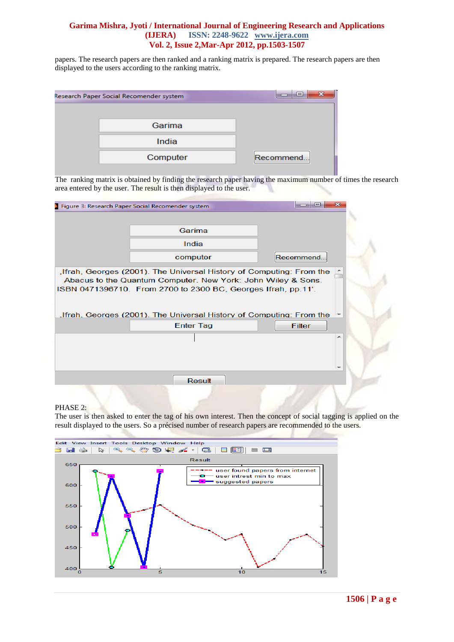papers. The research papers are then ranked and a ranking matrix is prepared. The research papers are then displayed to the users according to the ranking matrix.

| Research Paper Social Recomender system | 23<br>e    |
|-----------------------------------------|------------|
|                                         |            |
| Garima                                  |            |
| India                                   |            |
| Computer                                | Recommend. |

The ranking matrix is obtained by finding the research paper having the maximum number of times the research area entered by the user. The result is then displayed to the user.

| Figure 3: Research Paper Social Recomender system                                                                                                                                                                                                                           | 53<br>e                  |  |
|-----------------------------------------------------------------------------------------------------------------------------------------------------------------------------------------------------------------------------------------------------------------------------|--------------------------|--|
|                                                                                                                                                                                                                                                                             |                          |  |
| Garima                                                                                                                                                                                                                                                                      |                          |  |
| India                                                                                                                                                                                                                                                                       |                          |  |
|                                                                                                                                                                                                                                                                             |                          |  |
| computer                                                                                                                                                                                                                                                                    | Recommend.               |  |
| Ifrah, Georges (2001). The Universal History of Computing: From the<br>Abacus to the Quantum Computer. New York: John Wiley & Sons.<br>ISBN 0471396710. From 2700 to 2300 BC, Georges Ifrah, pp.11'.<br>Ifrah, Georges (2001). The Universal History of Computing: From the | $\overline{\phantom{a}}$ |  |
| <b>Enter Tag</b>                                                                                                                                                                                                                                                            | Filter                   |  |
|                                                                                                                                                                                                                                                                             |                          |  |
| <b>Result</b>                                                                                                                                                                                                                                                               |                          |  |
|                                                                                                                                                                                                                                                                             |                          |  |

#### PHASE 2:

The user is then asked to enter the tag of his own interest. Then the concept of social tagging is applied on the result displayed to the users. So a précised number of research papers are recommended to the users.